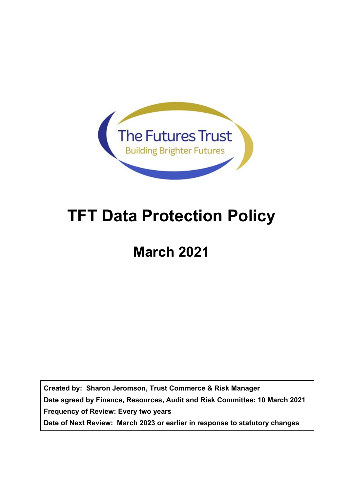

# **TFT Data Protection Policy**

## **March 2021**

**Created by: Sharon Jeromson, Trust Commerce & Risk Manager Date agreed by Finance, Resources, Audit and Risk Committee: 10 March 2021 Frequency of Review: Every two years Date of Next Review: March 2023 or earlier in response to statutory changes**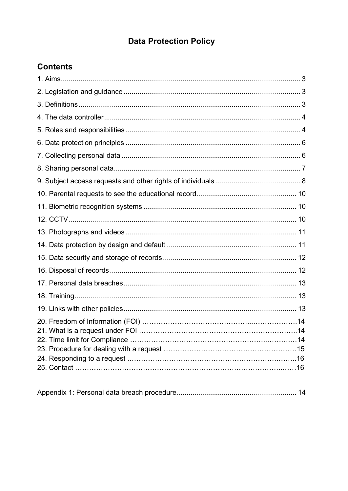## **Data Protection Policy**

## **Contents**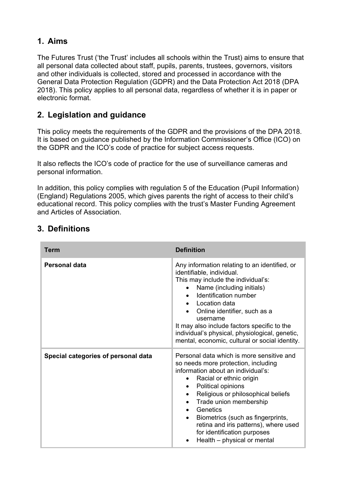## **1. Aims**

The Futures Trust ('the Trust' includes all schools within the Trust) aims to ensure that all personal data collected about staff, pupils, parents, trustees, governors, visitors and other individuals is collected, stored and processed in accordance with the General Data Protection Regulation (GDPR) and the Data Protection Act 2018 (DPA 2018). This policy applies to all personal data, regardless of whether it is in paper or electronic format.

## **2. Legislation and guidance**

This policy meets the requirements of the GDPR and the provisions of the DPA 2018. It is based on guidance published by the Information Commissioner's Office (ICO) on the GDPR and the ICO's code of practice for subject access requests.

It also reflects the ICO's code of practice for the use of surveillance cameras and personal information.

In addition, this policy complies with regulation 5 of the Education (Pupil Information) (England) Regulations 2005, which gives parents the right of access to their child's educational record. This policy complies with the trust's Master Funding Agreement and Articles of Association.

| Term                                | <b>Definition</b>                                                                                                                                                                                                                                                                                                                                                                                                                                                |
|-------------------------------------|------------------------------------------------------------------------------------------------------------------------------------------------------------------------------------------------------------------------------------------------------------------------------------------------------------------------------------------------------------------------------------------------------------------------------------------------------------------|
| Personal data                       | Any information relating to an identified, or<br>identifiable, individual.<br>This may include the individual's:<br>Name (including initials)<br>Identification number<br>Location data<br>$\bullet$<br>Online identifier, such as a<br>username<br>It may also include factors specific to the<br>individual's physical, physiological, genetic,<br>mental, economic, cultural or social identity.                                                              |
| Special categories of personal data | Personal data which is more sensitive and<br>so needs more protection, including<br>information about an individual's:<br>Racial or ethnic origin<br>Political opinions<br>$\bullet$<br>Religious or philosophical beliefs<br>Trade union membership<br>$\bullet$<br>Genetics<br>$\bullet$<br>Biometrics (such as fingerprints,<br>$\bullet$<br>retina and iris patterns), where used<br>for identification purposes<br>Health – physical or mental<br>$\bullet$ |

## **3. Definitions**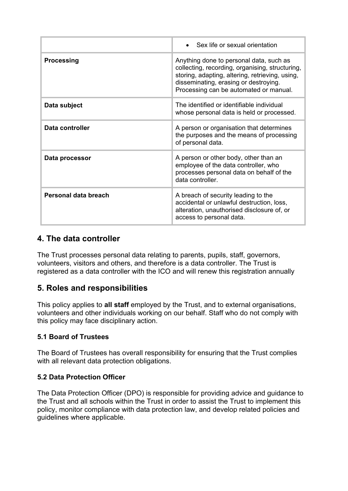|                      | Sex life or sexual orientation                                                                                                                                                                                                   |
|----------------------|----------------------------------------------------------------------------------------------------------------------------------------------------------------------------------------------------------------------------------|
| <b>Processing</b>    | Anything done to personal data, such as<br>collecting, recording, organising, structuring,<br>storing, adapting, altering, retrieving, using,<br>disseminating, erasing or destroying.<br>Processing can be automated or manual. |
| Data subject         | The identified or identifiable individual<br>whose personal data is held or processed.                                                                                                                                           |
| Data controller      | A person or organisation that determines<br>the purposes and the means of processing<br>of personal data.                                                                                                                        |
| Data processor       | A person or other body, other than an<br>employee of the data controller, who<br>processes personal data on behalf of the<br>data controller.                                                                                    |
| Personal data breach | A breach of security leading to the<br>accidental or unlawful destruction, loss,<br>alteration, unauthorised disclosure of, or<br>access to personal data.                                                                       |

#### **4. The data controller**

The Trust processes personal data relating to parents, pupils, staff, governors, volunteers, visitors and others, and therefore is a data controller. The Trust is registered as a data controller with the ICO and will renew this registration annually

### **5. Roles and responsibilities**

This policy applies to **all staff** employed by the Trust, and to external organisations, volunteers and other individuals working on our behalf. Staff who do not comply with this policy may face disciplinary action.

#### **5.1 Board of Trustees**

The Board of Trustees has overall responsibility for ensuring that the Trust complies with all relevant data protection obligations.

#### **5.2 Data Protection Officer**

The Data Protection Officer (DPO) is responsible for providing advice and guidance to the Trust and all schools within the Trust in order to assist the Trust to implement this policy, monitor compliance with data protection law, and develop related policies and guidelines where applicable.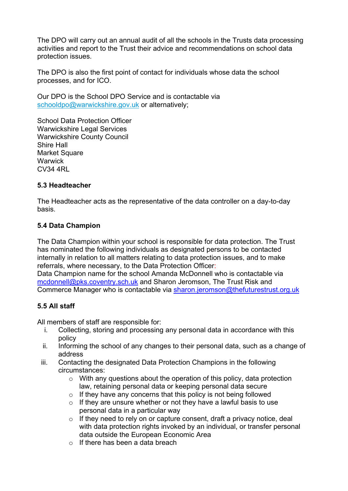The DPO will carry out an annual audit of all the schools in the Trusts data processing activities and report to the Trust their advice and recommendations on school data protection issues.

The DPO is also the first point of contact for individuals whose data the school processes, and for ICO.

Our DPO is the School DPO Service and is contactable via [schooldpo@warwickshire.gov.uk](mailto:schooldpo@warwickshire.gov.uk) or alternatively;

School Data Protection Officer Warwickshire Legal Services Warwickshire County Council Shire Hall **Market Square Warwick** CV34 4RL

#### **5.3 Headteacher**

The Headteacher acts as the representative of the data controller on a day-to-day basis.

#### **5.4 Data Champion**

The Data Champion within your school is responsible for data protection. The Trust has nominated the following individuals as designated persons to be contacted internally in relation to all matters relating to data protection issues, and to make referrals, where necessary, to the Data Protection Officer:

Data Champion name for the school Amanda McDonnell who is contactable via [mcdonnell@pks.coventry.sch.uk](mailto:mcdonnell@pks.coventry.sch.uk?subject=Data%20Protection) and Sharon Jeromson, The Trust Risk and Commerce Manager who is contactable via [sharon.jeromson@thefuturestrust.org.uk](mailto:sharon.jeromson@thefuturestrust.org.uk)

#### **5.5 All staff**

All members of staff are responsible for:

- i. Collecting, storing and processing any personal data in accordance with this policy
- ii. Informing the school of any changes to their personal data, such as a change of address
- iii. Contacting the designated Data Protection Champions in the following circumstances:
	- $\circ$  With any questions about the operation of this policy, data protection law, retaining personal data or keeping personal data secure
	- $\circ$  If they have any concerns that this policy is not being followed
	- $\circ$  If they are unsure whether or not they have a lawful basis to use personal data in a particular way
	- $\circ$  If they need to rely on or capture consent, draft a privacy notice, deal with data protection rights invoked by an individual, or transfer personal data outside the European Economic Area
	- $\circ$  If there has been a data breach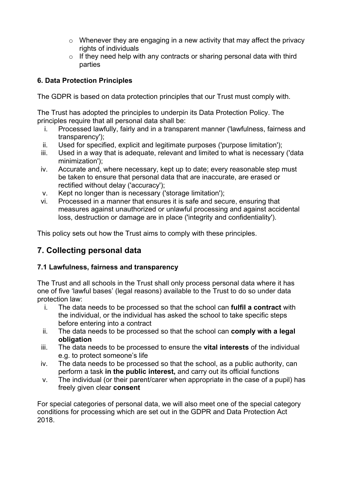- $\circ$  Whenever they are engaging in a new activity that may affect the privacy rights of individuals
- $\circ$  If they need help with any contracts or sharing personal data with third parties

#### **6. Data Protection Principles**

The GDPR is based on data protection principles that our Trust must comply with.

The Trust has adopted the principles to underpin its Data Protection Policy. The principles require that all personal data shall be:

- i. Processed lawfully, fairly and in a transparent manner ('lawfulness, fairness and transparency');
- ii. Used for specified, explicit and legitimate purposes ('purpose limitation');
- iii. Used in a way that is adequate, relevant and limited to what is necessary ('data minimization');
- iv. Accurate and, where necessary, kept up to date; every reasonable step must be taken to ensure that personal data that are inaccurate, are erased or rectified without delay ('accuracy');
- v. Kept no longer than is necessary ('storage limitation');
- vi. Processed in a manner that ensures it is safe and secure, ensuring that measures against unauthorized or unlawful processing and against accidental loss, destruction or damage are in place ('integrity and confidentiality').

This policy sets out how the Trust aims to comply with these principles.

## **7. Collecting personal data**

#### **7.1 Lawfulness, fairness and transparency**

The Trust and all schools in the Trust shall only process personal data where it has one of five 'lawful bases' (legal reasons) available to the Trust to do so under data protection law:

- i. The data needs to be processed so that the school can **fulfil a contract** with the individual, or the individual has asked the school to take specific steps before entering into a contract
- ii. The data needs to be processed so that the school can **comply with a legal obligation**
- iii. The data needs to be processed to ensure the **vital interests** of the individual e.g. to protect someone's life
- iv. The data needs to be processed so that the school, as a public authority, can perform a task **in the public interest,** and carry out its official functions
- v. The individual (or their parent/carer when appropriate in the case of a pupil) has freely given clear **consent**

For special categories of personal data, we will also meet one of the special category conditions for processing which are set out in the GDPR and Data Protection Act 2018.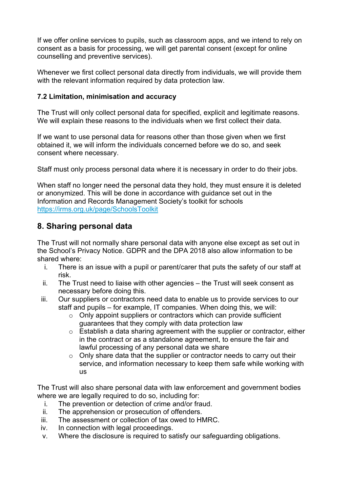If we offer online services to pupils, such as classroom apps, and we intend to rely on consent as a basis for processing, we will get parental consent (except for online counselling and preventive services).

Whenever we first collect personal data directly from individuals, we will provide them with the relevant information required by data protection law.

#### **7.2 Limitation, minimisation and accuracy**

The Trust will only collect personal data for specified, explicit and legitimate reasons. We will explain these reasons to the individuals when we first collect their data.

If we want to use personal data for reasons other than those given when we first obtained it, we will inform the individuals concerned before we do so, and seek consent where necessary.

Staff must only process personal data where it is necessary in order to do their jobs.

When staff no longer need the personal data they hold, they must ensure it is deleted or anonymized. This will be done in accordance with guidance set out in the Information and Records Management Society's toolkit for schools <https://irms.org.uk/page/SchoolsToolkit>

### **8. Sharing personal data**

The Trust will not normally share personal data with anyone else except as set out in the School's Privacy Notice. GDPR and the DPA 2018 also allow information to be shared where:

- i. There is an issue with a pupil or parent/carer that puts the safety of our staff at risk.
- ii. The Trust need to liaise with other agencies the Trust will seek consent as necessary before doing this.
- iii. Our suppliers or contractors need data to enable us to provide services to our staff and pupils – for example, IT companies. When doing this, we will:
	- $\circ$  Only appoint suppliers or contractors which can provide sufficient guarantees that they comply with data protection law
	- o Establish a data sharing agreement with the supplier or contractor, either in the contract or as a standalone agreement, to ensure the fair and lawful processing of any personal data we share
	- $\circ$  Only share data that the supplier or contractor needs to carry out their service, and information necessary to keep them safe while working with us

The Trust will also share personal data with law enforcement and government bodies where we are legally required to do so, including for:

- i. The prevention or detection of crime and/or fraud.
- ii. The apprehension or prosecution of offenders.
- iii. The assessment or collection of tax owed to HMRC.
- iv. In connection with legal proceedings.
- v. Where the disclosure is required to satisfy our safeguarding obligations.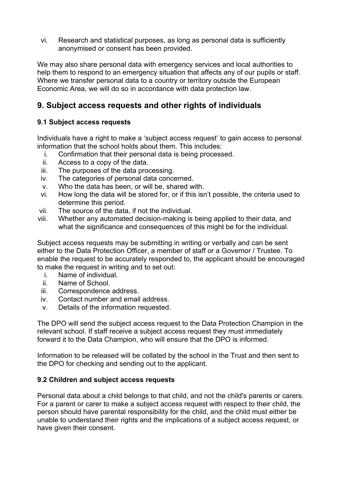vi. Research and statistical purposes, as long as personal data is sufficiently anonymised or consent has been provided.

We may also share personal data with emergency services and local authorities to help them to respond to an emergency situation that affects any of our pupils or staff. Where we transfer personal data to a country or territory outside the European Economic Area, we will do so in accordance with data protection law.

## **9. Subject access requests and other rights of individuals**

#### **9.1 Subject access requests**

Individuals have a right to make a 'subject access request' to gain access to personal information that the school holds about them. This includes:

- i. Confirmation that their personal data is being processed.
- ii. Access to a copy of the data.
- iii. The purposes of the data processing.
- iv. The categories of personal data concerned.
- v. Who the data has been, or will be, shared with.
- vi. How long the data will be stored for, or if this isn't possible, the criteria used to determine this period.
- vii. The source of the data, if not the individual.
- viii. Whether any automated decision-making is being applied to their data, and what the significance and consequences of this might be for the individual.

Subject access requests may be submitting in writing or verbally and can be sent either to the Data Protection Officer, a member of staff or a Governor / Trustee. To enable the request to be accurately responded to, the applicant should be encouraged to make the request in writing and to set out:

- i. Name of individual.
- ii. Name of School.
- iii. Correspondence address.
- iv. Contact number and email address.
- v. Details of the information requested.

The DPO will send the subject access request to the Data Protection Champion in the relevant school. If staff receive a subject access request they must immediately forward it to the Data Champion, who will ensure that the DPO is informed.

Information to be released will be collated by the school in the Trust and then sent to the DPO for checking and sending out to the applicant.

#### **9.2 Children and subject access requests**

Personal data about a child belongs to that child, and not the child's parents or carers. For a parent or carer to make a subject access request with respect to their child, the person should have parental responsibility for the child, and the child must either be unable to understand their rights and the implications of a subject access request, or have given their consent.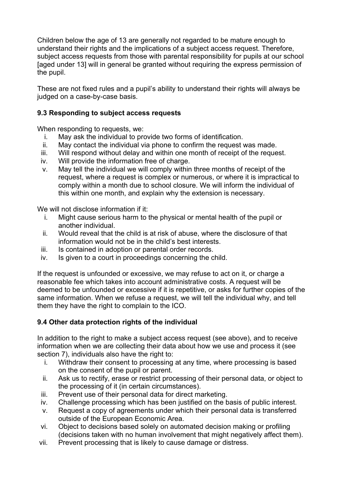Children below the age of 13 are generally not regarded to be mature enough to understand their rights and the implications of a subject access request. Therefore, subject access requests from those with parental responsibility for pupils at our school [aged under 13] will in general be granted without requiring the express permission of the pupil.

These are not fixed rules and a pupil's ability to understand their rights will always be judged on a case-by-case basis.

#### **9.3 Responding to subject access requests**

When responding to requests, we:

- i. May ask the individual to provide two forms of identification.
- ii. May contact the individual via phone to confirm the request was made.
- iii. Will respond without delay and within one month of receipt of the request.
- iv. Will provide the information free of charge.
- v. May tell the individual we will comply within three months of receipt of the request, where a request is complex or numerous, or where it is impractical to comply within a month due to school closure. We will inform the individual of this within one month, and explain why the extension is necessary.

We will not disclose information if it:

- i. Might cause serious harm to the physical or mental health of the pupil or another individual.
- ii. Would reveal that the child is at risk of abuse, where the disclosure of that information would not be in the child's best interests.
- iii. Is contained in adoption or parental order records.
- iv. Is given to a court in proceedings concerning the child.

If the request is unfounded or excessive, we may refuse to act on it, or charge a reasonable fee which takes into account administrative costs. A request will be deemed to be unfounded or excessive if it is repetitive, or asks for further copies of the same information. When we refuse a request, we will tell the individual why, and tell them they have the right to complain to the ICO.

#### **9.4 Other data protection rights of the individual**

In addition to the right to make a subject access request (see above), and to receive information when we are collecting their data about how we use and process it (see section 7), individuals also have the right to:

- i. Withdraw their consent to processing at any time, where processing is based on the consent of the pupil or parent.
- ii. Ask us to rectify, erase or restrict processing of their personal data, or object to the processing of it (in certain circumstances).
- iii. Prevent use of their personal data for direct marketing.
- iv. Challenge processing which has been justified on the basis of public interest.
- v. Request a copy of agreements under which their personal data is transferred outside of the European Economic Area.
- vi. Object to decisions based solely on automated decision making or profiling (decisions taken with no human involvement that might negatively affect them).
- vii. Prevent processing that is likely to cause damage or distress.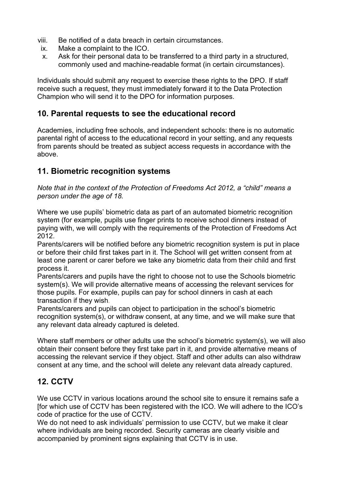- viii. Be notified of a data breach in certain circumstances.
- ix. Make a complaint to the ICO.
- x. Ask for their personal data to be transferred to a third party in a structured, commonly used and machine-readable format (in certain circumstances).

Individuals should submit any request to exercise these rights to the DPO. If staff receive such a request, they must immediately forward it to the Data Protection Champion who will send it to the DPO for information purposes.

#### **10. Parental requests to see the educational record**

Academies, including free schools, and independent schools: there is no automatic parental right of access to the educational record in your setting, and any requests from parents should be treated as subject access requests in accordance with the above.

## **11. Biometric recognition systems**

*Note that in the context of the Protection of Freedoms Act 2012, a "child" means a person under the age of 18.*

Where we use pupils' biometric data as part of an automated biometric recognition system (for example, pupils use finger prints to receive school dinners instead of paying with, we will comply with the requirements of the Protection of Freedoms Act 2012.

Parents/carers will be notified before any biometric recognition system is put in place or before their child first takes part in it. The School will get written consent from at least one parent or carer before we take any biometric data from their child and first process it.

Parents/carers and pupils have the right to choose not to use the Schools biometric system(s). We will provide alternative means of accessing the relevant services for those pupils. For example, pupils can pay for school dinners in cash at each transaction if they wish*.*

Parents/carers and pupils can object to participation in the school's biometric recognition system(s), or withdraw consent, at any time, and we will make sure that any relevant data already captured is deleted.

Where staff members or other adults use the school's biometric system(s), we will also obtain their consent before they first take part in it, and provide alternative means of accessing the relevant service if they object. Staff and other adults can also withdraw consent at any time, and the school will delete any relevant data already captured.

## **12. CCTV**

We use CCTV in various locations around the school site to ensure it remains safe a [for which use of CCTV has been registered with the ICO. We will adhere to the ICO's code of practice for the use of CCTV.

We do not need to ask individuals' permission to use CCTV, but we make it clear where individuals are being recorded. Security cameras are clearly visible and accompanied by prominent signs explaining that CCTV is in use.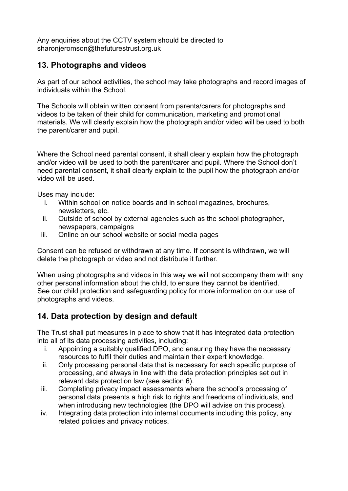Any enquiries about the CCTV system should be directed to sharonjeromson@thefuturestrust.org.uk

## **13. Photographs and videos**

As part of our school activities, the school may take photographs and record images of individuals within the School.

The Schools will obtain written consent from parents/carers for photographs and videos to be taken of their child for communication, marketing and promotional materials. We will clearly explain how the photograph and/or video will be used to both the parent/carer and pupil.

Where the School need parental consent, it shall clearly explain how the photograph and/or video will be used to both the parent/carer and pupil. Where the School don't need parental consent, it shall clearly explain to the pupil how the photograph and/or video will be used.

Uses may include:

- i. Within school on notice boards and in school magazines, brochures, newsletters, etc.
- ii. Outside of school by external agencies such as the school photographer, newspapers, campaigns
- iii. Online on our school website or social media pages

Consent can be refused or withdrawn at any time. If consent is withdrawn, we will delete the photograph or video and not distribute it further.

When using photographs and videos in this way we will not accompany them with any other personal information about the child, to ensure they cannot be identified. See our child protection and safeguarding policy for more information on our use of photographs and videos.

## **14. Data protection by design and default**

The Trust shall put measures in place to show that it has integrated data protection into all of its data processing activities, including:

- i. Appointing a suitably qualified DPO, and ensuring they have the necessary resources to fulfil their duties and maintain their expert knowledge.
- ii. Only processing personal data that is necessary for each specific purpose of processing, and always in line with the data protection principles set out in relevant data protection law (see section 6).
- iii. Completing privacy impact assessments where the school's processing of personal data presents a high risk to rights and freedoms of individuals, and when introducing new technologies (the DPO will advise on this process).
- iv. Integrating data protection into internal documents including this policy, any related policies and privacy notices.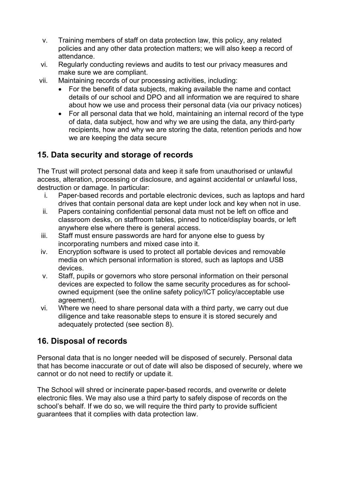- v. Training members of staff on data protection law, this policy, any related policies and any other data protection matters; we will also keep a record of attendance.
- vi. Regularly conducting reviews and audits to test our privacy measures and make sure we are compliant.
- vii. Maintaining records of our processing activities, including:
	- For the benefit of data subjects, making available the name and contact details of our school and DPO and all information we are required to share about how we use and process their personal data (via our privacy notices)
	- For all personal data that we hold, maintaining an internal record of the type of data, data subject, how and why we are using the data, any third-party recipients, how and why we are storing the data, retention periods and how we are keeping the data secure

### **15. Data security and storage of records**

The Trust will protect personal data and keep it safe from unauthorised or unlawful access, alteration, processing or disclosure, and against accidental or unlawful loss, destruction or damage. In particular:

- i. Paper-based records and portable electronic devices, such as laptops and hard drives that contain personal data are kept under lock and key when not in use.
- ii. Papers containing confidential personal data must not be left on office and classroom desks, on staffroom tables, pinned to notice/display boards, or left anywhere else where there is general access.
- iii. Staff must ensure passwords are hard for anyone else to guess by incorporating numbers and mixed case into it.
- iv. Encryption software is used to protect all portable devices and removable media on which personal information is stored, such as laptops and USB devices.
- v. Staff, pupils or governors who store personal information on their personal devices are expected to follow the same security procedures as for schoolowned equipment (see the online safety policy/ICT policy/acceptable use agreement).
- vi. Where we need to share personal data with a third party, we carry out due diligence and take reasonable steps to ensure it is stored securely and adequately protected (see section 8).

## **16. Disposal of records**

Personal data that is no longer needed will be disposed of securely. Personal data that has become inaccurate or out of date will also be disposed of securely, where we cannot or do not need to rectify or update it.

The School will shred or incinerate paper-based records, and overwrite or delete electronic files. We may also use a third party to safely dispose of records on the school's behalf. If we do so, we will require the third party to provide sufficient guarantees that it complies with data protection law.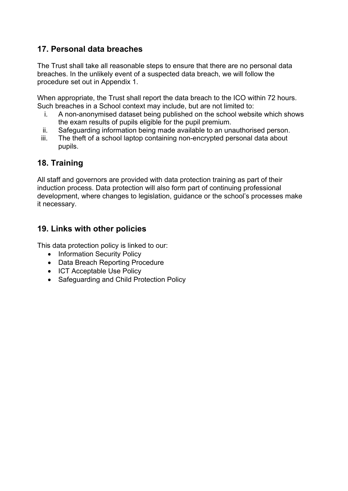### **17. Personal data breaches**

The Trust shall take all reasonable steps to ensure that there are no personal data breaches. In the unlikely event of a suspected data breach, we will follow the procedure set out in Appendix 1.

When appropriate, the Trust shall report the data breach to the ICO within 72 hours. Such breaches in a School context may include, but are not limited to:

- i. A non-anonymised dataset being published on the school website which shows the exam results of pupils eligible for the pupil premium.
- ii. Safeguarding information being made available to an unauthorised person.
- iii. The theft of a school laptop containing non-encrypted personal data about pupils.

## **18. Training**

All staff and governors are provided with data protection training as part of their induction process. Data protection will also form part of continuing professional development, where changes to legislation, guidance or the school's processes make it necessary.

## **19. Links with other policies**

This data protection policy is linked to our:

- Information Security Policy
- Data Breach Reporting Procedure
- ICT Acceptable Use Policy
- Safeguarding and Child Protection Policy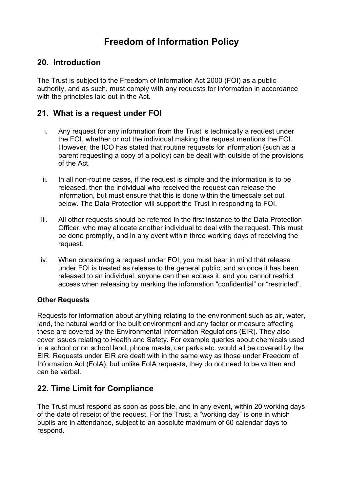## **Freedom of Information Policy**

### **20. Introduction**

The Trust is subject to the Freedom of Information Act 2000 (FOI) as a public authority, and as such, must comply with any requests for information in accordance with the principles laid out in the Act.

## **21. What is a request under FOI**

- i. Any request for any information from the Trust is technically a request under the FOI, whether or not the individual making the request mentions the FOI. However, the ICO has stated that routine requests for information (such as a parent requesting a copy of a policy) can be dealt with outside of the provisions of the Act.
- ii. In all non-routine cases, if the request is simple and the information is to be released, then the individual who received the request can release the information, but must ensure that this is done within the timescale set out below. The Data Protection will support the Trust in responding to FOI.
- iii. All other requests should be referred in the first instance to the Data Protection Officer, who may allocate another individual to deal with the request. This must be done promptly, and in any event within three working days of receiving the request.
- iv. When considering a request under FOI, you must bear in mind that release under FOI is treated as release to the general public, and so once it has been released to an individual, anyone can then access it, and you cannot restrict access when releasing by marking the information "confidential" or "restricted".

#### **Other Requests**

Requests for information about anything relating to the environment such as air, water, land, the natural world or the built environment and any factor or measure affecting these are covered by the Environmental Information Regulations (EIR). They also cover issues relating to Health and Safety. For example queries about chemicals used in a school or on school land, phone masts, car parks etc. would all be covered by the EIR. Requests under EIR are dealt with in the same way as those under Freedom of Information Act (FoIA), but unlike FoIA requests, they do not need to be written and can be verbal.

## **22. Time Limit for Compliance**

The Trust must respond as soon as possible, and in any event, within 20 working days of the date of receipt of the request. For the Trust, a "working day" is one in which pupils are in attendance, subject to an absolute maximum of 60 calendar days to respond.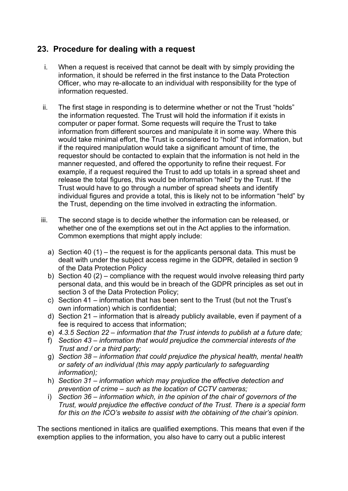#### **23. Procedure for dealing with a request**

- i. When a request is received that cannot be dealt with by simply providing the information, it should be referred in the first instance to the Data Protection Officer, who may re-allocate to an individual with responsibility for the type of information requested.
- ii. The first stage in responding is to determine whether or not the Trust "holds" the information requested. The Trust will hold the information if it exists in computer or paper format. Some requests will require the Trust to take information from different sources and manipulate it in some way. Where this would take minimal effort, the Trust is considered to "hold" that information, but if the required manipulation would take a significant amount of time, the requestor should be contacted to explain that the information is not held in the manner requested, and offered the opportunity to refine their request. For example, if a request required the Trust to add up totals in a spread sheet and release the total figures, this would be information "held" by the Trust. If the Trust would have to go through a number of spread sheets and identify individual figures and provide a total, this is likely not to be information "held" by the Trust, depending on the time involved in extracting the information.
- iii. The second stage is to decide whether the information can be released, or whether one of the exemptions set out in the Act applies to the information. Common exemptions that might apply include:
	- a) Section 40 (1) the request is for the applicants personal data. This must be dealt with under the subject access regime in the GDPR, detailed in section 9 of the Data Protection Policy
	- b) Section 40 (2) compliance with the request would involve releasing third party personal data, and this would be in breach of the GDPR principles as set out in section 3 of the Data Protection Policy;
	- c) Section 41 information that has been sent to the Trust (but not the Trust's own information) which is confidential;
	- d) Section 21 information that is already publicly available, even if payment of a fee is required to access that information;
	- e) *4.3.5 Section 22 – information that the Trust intends to publish at a future date;*
	- f) *Section 43 – information that would prejudice the commercial interests of the Trust and / or a third party;*
	- g) *Section 38 – information that could prejudice the physical health, mental health or safety of an individual (this may apply particularly to safeguarding information);*
	- h) *Section 31 – information which may prejudice the effective detection and prevention of crime – such as the location of CCTV cameras;*
	- i) *Section 36 – information which, in the opinion of the chair of governors of the Trust, would prejudice the effective conduct of the Trust. There is a special form for this on the ICO's website to assist with the obtaining of the chair's opinion.*

The sections mentioned in italics are qualified exemptions. This means that even if the exemption applies to the information, you also have to carry out a public interest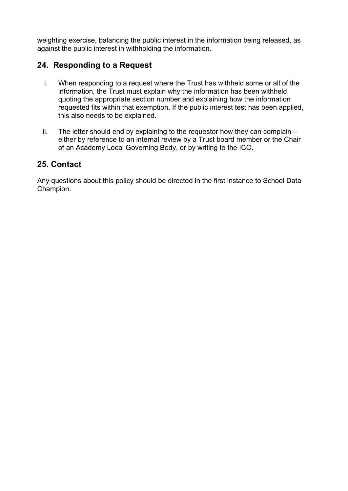weighting exercise, balancing the public interest in the information being released, as against the public interest in withholding the information.

### **24. Responding to a Request**

- i. When responding to a request where the Trust has withheld some or all of the information, the Trust must explain why the information has been withheld, quoting the appropriate section number and explaining how the information requested fits within that exemption. If the public interest test has been applied, this also needs to be explained.
- ii. The letter should end by explaining to the requestor how they can complain  $$ either by reference to an internal review by a Trust board member or the Chair of an Academy Local Governing Body, or by writing to the ICO.

### **25. Contact**

Any questions about this policy should be directed in the first instance to School Data Champion.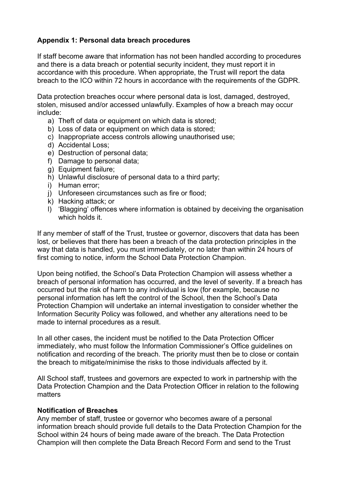#### **Appendix 1: Personal data breach procedures**

If staff become aware that information has not been handled according to procedures and there is a data breach or potential security incident, they must report it in accordance with this procedure. When appropriate, the Trust will report the data breach to the ICO within 72 hours in accordance with the requirements of the GDPR.

Data protection breaches occur where personal data is lost, damaged, destroyed, stolen, misused and/or accessed unlawfully. Examples of how a breach may occur include:

- a) Theft of data or equipment on which data is stored;
- b) Loss of data or equipment on which data is stored;
- c) Inappropriate access controls allowing unauthorised use;
- d) Accidental Loss;
- e) Destruction of personal data;
- f) Damage to personal data;
- g) Equipment failure;
- h) Unlawful disclosure of personal data to a third party;
- i) Human error;
- j) Unforeseen circumstances such as fire or flood;
- k) Hacking attack; or
- l) 'Blagging' offences where information is obtained by deceiving the organisation which holds it.

If any member of staff of the Trust, trustee or governor, discovers that data has been lost, or believes that there has been a breach of the data protection principles in the way that data is handled, you must immediately, or no later than within 24 hours of first coming to notice, inform the School Data Protection Champion.

Upon being notified, the School's Data Protection Champion will assess whether a breach of personal information has occurred, and the level of severity. If a breach has occurred but the risk of harm to any individual is low (for example, because no personal information has left the control of the School, then the School's Data Protection Champion will undertake an internal investigation to consider whether the Information Security Policy was followed, and whether any alterations need to be made to internal procedures as a result.

In all other cases, the incident must be notified to the Data Protection Officer immediately, who must follow the Information Commissioner's Office guidelines on notification and recording of the breach. The priority must then be to close or contain the breach to mitigate/minimise the risks to those individuals affected by it.

All School staff, trustees and governors are expected to work in partnership with the Data Protection Champion and the Data Protection Officer in relation to the following matters

#### **Notification of Breaches**

Any member of staff, trustee or governor who becomes aware of a personal information breach should provide full details to the Data Protection Champion for the School within 24 hours of being made aware of the breach. The Data Protection Champion will then complete the Data Breach Record Form and send to the Trust